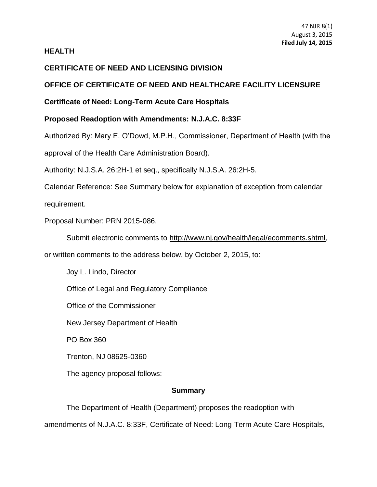### **HEALTH**

# **CERTIFICATE OF NEED AND LICENSING DIVISION**

# **OFFICE OF CERTIFICATE OF NEED AND HEALTHCARE FACILITY LICENSURE**

# **Certificate of Need: Long-Term Acute Care Hospitals**

# **Proposed Readoption with Amendments: [N.J.A.C. 8:33F](https://web.lexisnexis.com/research/buttonTFLink?_m=62605cf6750c3d35a3df6f5159e5bbcc&_xfercite=%3ccite%20cc%3d%22USA%22%3e%3c%21%5bCDATA%5b40%20N.J.R.%20965%28a%29%5d%5d%3e%3c%2fcite%3e&_butType=4&_butStat=0&_butNum=1&_butInline=1&_butinfo=NJ%20ADMIN%208%3a33F&_fmtstr=FULL&docnum=11&_startdoc=1&wchp=dGLbVzt-zSkAb&_md5=24c764fde2f6143119775ec34c3ad181)**

Authorized By: Mary E. O'Dowd, M.P.H., Commissioner, Department of Health (with the approval of the Health Care Administration Board).

Authority: [N.J.S.A. 26:2H-1](https://web.lexisnexis.com/research/buttonTFLink?_m=62605cf6750c3d35a3df6f5159e5bbcc&_xfercite=%3ccite%20cc%3d%22USA%22%3e%3c%21%5bCDATA%5b40%20N.J.R.%20965%28a%29%5d%5d%3e%3c%2fcite%3e&_butType=4&_butStat=0&_butNum=3&_butInline=1&_butinfo=NJCODE%2026%3a2H-1&_fmtstr=FULL&docnum=11&_startdoc=1&wchp=dGLbVzt-zSkAb&_md5=217bde9940d7e14f51d45cc3c5ddbc9c) et seq., specifically N.J.S.A. 26:2H-5.

Calendar Reference: See Summary below for explanation of exception from calendar

requirement.

Proposal Number: PRN 2015-086.

Submit electronic comments to http://www.nj.gov/health/legal/ecomments.shtml,

or written comments to the address below, by October 2, 2015, to:

Joy L. Lindo, Director

Office of Legal and Regulatory Compliance

Office of the Commissioner

New Jersey Department of Health

PO Box 360

Trenton, NJ 08625-0360

The agency proposal follows:

## **Summary**

The Department of Health (Department) proposes the readoption with amendments of [N.J.A.C. 8:33F,](https://web.lexisnexis.com/research/buttonTFLink?_m=62605cf6750c3d35a3df6f5159e5bbcc&_xfercite=%3ccite%20cc%3d%22USA%22%3e%3c%21%5bCDATA%5b40%20N.J.R.%20965%28a%29%5d%5d%3e%3c%2fcite%3e&_butType=4&_butStat=0&_butNum=4&_butInline=1&_butinfo=NJ%20ADMIN%208%3a33F&_fmtstr=FULL&docnum=11&_startdoc=1&wchp=dGLbVzt-zSkAb&_md5=b43ec92f2b852559b2c9b435a5b1b6ba) Certificate of Need: Long-Term Acute Care Hospitals,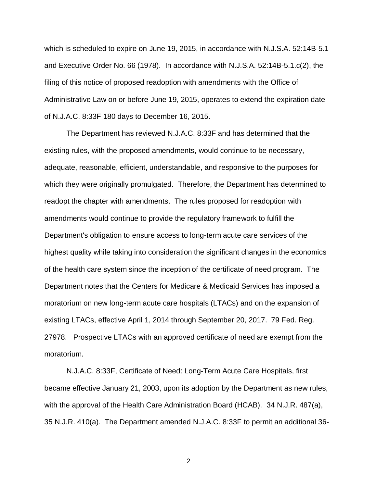which is scheduled to expire on June 19, 2015, in accordance with [N.J.S.A. 52:14B-5.1](https://web.lexisnexis.com/research/buttonTFLink?_m=62605cf6750c3d35a3df6f5159e5bbcc&_xfercite=%3ccite%20cc%3d%22USA%22%3e%3c%21%5bCDATA%5b40%20N.J.R.%20965%28a%29%5d%5d%3e%3c%2fcite%3e&_butType=4&_butStat=0&_butNum=5&_butInline=1&_butinfo=NJCODE%2052%3a14B-5.1&_fmtstr=FULL&docnum=11&_startdoc=1&wchp=dGLbVzt-zSkAb&_md5=5e59e7e961a6e68c9467827807a2a350) and Executive Order No. 66 (1978). In accordance with N.J.S.A. 52:14B-5.1.c(2), the filing of this notice of proposed readoption with amendments with the Office of Administrative Law on or before June 19, 2015, operates to extend the expiration date of [N.J.A.C. 8:33F](https://web.lexisnexis.com/research/buttonTFLink?_m=62605cf6750c3d35a3df6f5159e5bbcc&_xfercite=%3ccite%20cc%3d%22USA%22%3e%3c%21%5bCDATA%5b40%20N.J.R.%20965%28a%29%5d%5d%3e%3c%2fcite%3e&_butType=4&_butStat=0&_butNum=6&_butInline=1&_butinfo=NJ%20ADMIN%208%3a33F&_fmtstr=FULL&docnum=11&_startdoc=1&wchp=dGLbVzt-zSkAb&_md5=1887dcb1a3e0143a3574740875dff554) 180 days to December 16, 2015.

The Department has reviewed [N.J.A.C. 8:33F](https://web.lexisnexis.com/research/buttonTFLink?_m=62605cf6750c3d35a3df6f5159e5bbcc&_xfercite=%3ccite%20cc%3d%22USA%22%3e%3c%21%5bCDATA%5b40%20N.J.R.%20965%28a%29%5d%5d%3e%3c%2fcite%3e&_butType=4&_butStat=0&_butNum=7&_butInline=1&_butinfo=NJ%20ADMIN%208%3a33F&_fmtstr=FULL&docnum=11&_startdoc=1&wchp=dGLbVzt-zSkAb&_md5=ea12d0dd57f5945a1c6d3da43c56a7bf) and has determined that the existing rules, with the proposed amendments, would continue to be necessary, adequate, reasonable, efficient, understandable, and responsive to the purposes for which they were originally promulgated. Therefore, the Department has determined to readopt the chapter with amendments. The rules proposed for readoption with amendments would continue to provide the regulatory framework to fulfill the Department's obligation to ensure access to long-term acute care services of the highest quality while taking into consideration the significant changes in the economics of the health care system since the inception of the certificate of need program. The Department notes that the Centers for Medicare & Medicaid Services has imposed a moratorium on new long-term acute care hospitals (LTACs) and on the expansion of existing LTACs, effective April 1, 2014 through September 20, 2017. 79 Fed. Reg. 27978. Prospective LTACs with an approved certificate of need are exempt from the moratorium.

[N.J.A.C. 8:33F,](https://web.lexisnexis.com/research/buttonTFLink?_m=62605cf6750c3d35a3df6f5159e5bbcc&_xfercite=%3ccite%20cc%3d%22USA%22%3e%3c%21%5bCDATA%5b40%20N.J.R.%20965%28a%29%5d%5d%3e%3c%2fcite%3e&_butType=4&_butStat=0&_butNum=8&_butInline=1&_butinfo=NJ%20ADMIN%208%3a33F&_fmtstr=FULL&docnum=11&_startdoc=1&wchp=dGLbVzt-zSkAb&_md5=925d103673c06535375756d24e60f38b) Certificate of Need: Long-Term Acute Care Hospitals, first became effective January 21, 2003, upon its adoption by the Department as new rules, with the approval of the Health Care Administration Board (HCAB). [34 N.J.R. 487\(a\),](https://web.lexisnexis.com/research/buttonTFLink?_m=62605cf6750c3d35a3df6f5159e5bbcc&_xfercite=%3ccite%20cc%3d%22USA%22%3e%3c%21%5bCDATA%5b40%20N.J.R.%20965%28a%29%5d%5d%3e%3c%2fcite%3e&_butType=4&_butStat=0&_butNum=9&_butInline=1&_butinfo=34%20NJR%20487A&_fmtstr=FULL&docnum=11&_startdoc=1&wchp=dGLbVzt-zSkAb&_md5=a67fe8021528e45e722a736768b4810a) [35 N.J.R. 410\(a\).](https://web.lexisnexis.com/research/buttonTFLink?_m=62605cf6750c3d35a3df6f5159e5bbcc&_xfercite=%3ccite%20cc%3d%22USA%22%3e%3c%21%5bCDATA%5b40%20N.J.R.%20965%28a%29%5d%5d%3e%3c%2fcite%3e&_butType=4&_butStat=0&_butNum=10&_butInline=1&_butinfo=35%20NJR%20410A&_fmtstr=FULL&docnum=11&_startdoc=1&wchp=dGLbVzt-zSkAb&_md5=9e666e7682667ee27e422302e9a59897) The Department amended [N.J.A.C. 8:33F](https://web.lexisnexis.com/research/buttonTFLink?_m=62605cf6750c3d35a3df6f5159e5bbcc&_xfercite=%3ccite%20cc%3d%22USA%22%3e%3c%21%5bCDATA%5b40%20N.J.R.%20965%28a%29%5d%5d%3e%3c%2fcite%3e&_butType=4&_butStat=0&_butNum=11&_butInline=1&_butinfo=NJ%20ADMIN%208%3a33F&_fmtstr=FULL&docnum=11&_startdoc=1&wchp=dGLbVzt-zSkAb&_md5=1a4f887580d3f026c310bd9ea0a96ade) to permit an additional 36-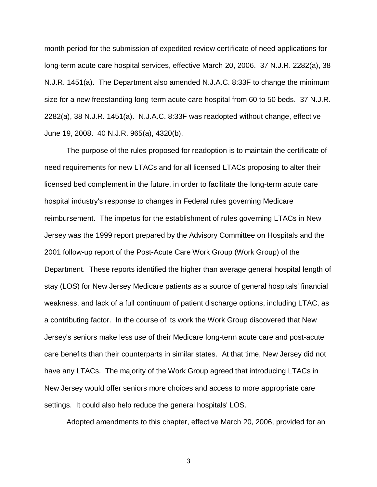month period for the submission of expedited review certificate of need applications for long-term acute care hospital services, effective March 20, 2006. [37 N.J.R. 2282\(a\),](https://web.lexisnexis.com/research/buttonTFLink?_m=62605cf6750c3d35a3df6f5159e5bbcc&_xfercite=%3ccite%20cc%3d%22USA%22%3e%3c%21%5bCDATA%5b40%20N.J.R.%20965%28a%29%5d%5d%3e%3c%2fcite%3e&_butType=4&_butStat=0&_butNum=12&_butInline=1&_butinfo=37%20NJR%202282A&_fmtstr=FULL&docnum=11&_startdoc=1&wchp=dGLbVzt-zSkAb&_md5=68732a50adb86b487e6c4b7a46412c9e) [38](https://web.lexisnexis.com/research/buttonTFLink?_m=62605cf6750c3d35a3df6f5159e5bbcc&_xfercite=%3ccite%20cc%3d%22USA%22%3e%3c%21%5bCDATA%5b40%20N.J.R.%20965%28a%29%5d%5d%3e%3c%2fcite%3e&_butType=4&_butStat=0&_butNum=13&_butInline=1&_butinfo=38%20NJR%201451A&_fmtstr=FULL&docnum=11&_startdoc=1&wchp=dGLbVzt-zSkAb&_md5=86bd8259b7782f0970904c6e3716c89c)  [N.J.R. 1451\(a\).](https://web.lexisnexis.com/research/buttonTFLink?_m=62605cf6750c3d35a3df6f5159e5bbcc&_xfercite=%3ccite%20cc%3d%22USA%22%3e%3c%21%5bCDATA%5b40%20N.J.R.%20965%28a%29%5d%5d%3e%3c%2fcite%3e&_butType=4&_butStat=0&_butNum=13&_butInline=1&_butinfo=38%20NJR%201451A&_fmtstr=FULL&docnum=11&_startdoc=1&wchp=dGLbVzt-zSkAb&_md5=86bd8259b7782f0970904c6e3716c89c) The Department also amended [N.J.A.C. 8:33F](https://web.lexisnexis.com/research/buttonTFLink?_m=62605cf6750c3d35a3df6f5159e5bbcc&_xfercite=%3ccite%20cc%3d%22USA%22%3e%3c%21%5bCDATA%5b40%20N.J.R.%20965%28a%29%5d%5d%3e%3c%2fcite%3e&_butType=4&_butStat=0&_butNum=14&_butInline=1&_butinfo=NJ%20ADMIN%208%3a33F&_fmtstr=FULL&docnum=11&_startdoc=1&wchp=dGLbVzt-zSkAb&_md5=603028d030ab74233f30c45045ae6457) to change the minimum size for a new freestanding long-term acute care hospital from 60 to 50 beds. [37 N.J.R.](https://web.lexisnexis.com/research/buttonTFLink?_m=62605cf6750c3d35a3df6f5159e5bbcc&_xfercite=%3ccite%20cc%3d%22USA%22%3e%3c%21%5bCDATA%5b40%20N.J.R.%20965%28a%29%5d%5d%3e%3c%2fcite%3e&_butType=4&_butStat=0&_butNum=15&_butInline=1&_butinfo=37%20NJR%202282A&_fmtstr=FULL&docnum=11&_startdoc=1&wchp=dGLbVzt-zSkAb&_md5=ca5cc220e3ed95213adbde446f575c29)  [2282\(a\),](https://web.lexisnexis.com/research/buttonTFLink?_m=62605cf6750c3d35a3df6f5159e5bbcc&_xfercite=%3ccite%20cc%3d%22USA%22%3e%3c%21%5bCDATA%5b40%20N.J.R.%20965%28a%29%5d%5d%3e%3c%2fcite%3e&_butType=4&_butStat=0&_butNum=15&_butInline=1&_butinfo=37%20NJR%202282A&_fmtstr=FULL&docnum=11&_startdoc=1&wchp=dGLbVzt-zSkAb&_md5=ca5cc220e3ed95213adbde446f575c29) [38 N.J.R. 1451\(a\).](https://web.lexisnexis.com/research/buttonTFLink?_m=62605cf6750c3d35a3df6f5159e5bbcc&_xfercite=%3ccite%20cc%3d%22USA%22%3e%3c%21%5bCDATA%5b40%20N.J.R.%20965%28a%29%5d%5d%3e%3c%2fcite%3e&_butType=4&_butStat=0&_butNum=16&_butInline=1&_butinfo=38%20NJR%201451A&_fmtstr=FULL&docnum=11&_startdoc=1&wchp=dGLbVzt-zSkAb&_md5=5764c4d1009d6b4fd3689342506f25e0) N.J.A.C. 8:33F was readopted without change, effective June 19, 2008. 40 N.J.R. 965(a), 4320(b).

The purpose of the rules proposed for readoption is to maintain the certificate of need requirements for new LTACs and for all licensed LTACs proposing to alter their licensed bed complement in the future, in order to facilitate the long-term acute care hospital industry's response to changes in Federal rules governing Medicare reimbursement. The impetus for the establishment of rules governing LTACs in New Jersey was the 1999 report prepared by the Advisory Committee on Hospitals and the 2001 follow-up report of the Post-Acute Care Work Group (Work Group) of the Department. These reports identified the higher than average general hospital length of stay (LOS) for New Jersey Medicare patients as a source of general hospitals' financial weakness, and lack of a full continuum of patient discharge options, including LTAC, as a contributing factor. In the course of its work the Work Group discovered that New Jersey's seniors make less use of their Medicare long-term acute care and post-acute care benefits than their counterparts in similar states. At that time, New Jersey did not have any LTACs. The majority of the Work Group agreed that introducing LTACs in New Jersey would offer seniors more choices and access to more appropriate care settings. It could also help reduce the general hospitals' LOS.

Adopted amendments to this chapter, effective March 20, 2006, provided for an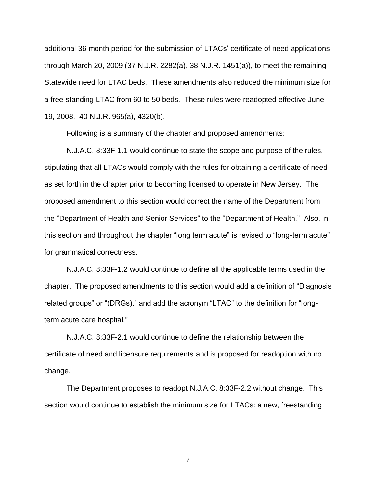additional 36-month period for the submission of LTACs' certificate of need applications through March 20, 2009 (37 N.J.R. 2282(a), [38 N.J.R. 1451\(a\)\)](https://web.lexisnexis.com/research/buttonTFLink?_m=62605cf6750c3d35a3df6f5159e5bbcc&_xfercite=%3ccite%20cc%3d%22USA%22%3e%3c%21%5bCDATA%5b40%20N.J.R.%20965%28a%29%5d%5d%3e%3c%2fcite%3e&_butType=4&_butStat=0&_butNum=20&_butInline=1&_butinfo=38%20NJR%201451A&_fmtstr=FULL&docnum=11&_startdoc=1&wchp=dGLbVzt-zSkAb&_md5=a37d6600ec829016827423f581f12c41), to meet the remaining Statewide need for LTAC beds. These amendments also reduced the minimum size for a free-standing LTAC from 60 to 50 beds. These rules were readopted effective June 19, 2008. 40 N.J.R. 965(a), 4320(b).

Following is a summary of the chapter and proposed amendments:

[N.J.A.C. 8:33F-1.1](https://web.lexisnexis.com/research/buttonTFLink?_m=62605cf6750c3d35a3df6f5159e5bbcc&_xfercite=%3ccite%20cc%3d%22USA%22%3e%3c%21%5bCDATA%5b40%20N.J.R.%20965%28a%29%5d%5d%3e%3c%2fcite%3e&_butType=4&_butStat=0&_butNum=21&_butInline=1&_butinfo=NJ%20ADMIN%208%3a33F-1.1&_fmtstr=FULL&docnum=11&_startdoc=1&wchp=dGLbVzt-zSkAb&_md5=569e2e6ab984a86a6a63a662b931cc12) would continue to state the scope and purpose of the rules, stipulating that all LTACs would comply with the rules for obtaining a certificate of need as set forth in the chapter prior to becoming licensed to operate in New Jersey. The proposed amendment to this section would correct the name of the Department from the "Department of Health and Senior Services" to the "Department of Health." Also, in this section and throughout the chapter "long term acute" is revised to "long-term acute" for grammatical correctness.

[N.J.A.C. 8:33F-1.2](https://web.lexisnexis.com/research/buttonTFLink?_m=62605cf6750c3d35a3df6f5159e5bbcc&_xfercite=%3ccite%20cc%3d%22USA%22%3e%3c%21%5bCDATA%5b40%20N.J.R.%20965%28a%29%5d%5d%3e%3c%2fcite%3e&_butType=4&_butStat=0&_butNum=22&_butInline=1&_butinfo=NJ%20ADMIN%208%3a33F-1.2&_fmtstr=FULL&docnum=11&_startdoc=1&wchp=dGLbVzt-zSkAb&_md5=8dbfcd3e2c6bef441eeed6dff738b939) would continue to define all the applicable terms used in the chapter. The proposed amendments to this section would add a definition of "Diagnosis related groups" or "(DRGs)," and add the acronym "LTAC" to the definition for "longterm acute care hospital."

[N.J.A.C. 8:33F-2.1](https://web.lexisnexis.com/research/buttonTFLink?_m=62605cf6750c3d35a3df6f5159e5bbcc&_xfercite=%3ccite%20cc%3d%22USA%22%3e%3c%21%5bCDATA%5b40%20N.J.R.%20965%28a%29%5d%5d%3e%3c%2fcite%3e&_butType=4&_butStat=0&_butNum=23&_butInline=1&_butinfo=NJ%20ADMIN%208%3a33F-2.1&_fmtstr=FULL&docnum=11&_startdoc=1&wchp=dGLbVzt-zSkAb&_md5=b5612643f4a048cc6799c68492e2766a) would continue to define the relationship between the certificate of need and licensure requirements and is proposed for readoption with no change.

The Department proposes to readopt [N.J.A.C. 8:33F-2.2](https://web.lexisnexis.com/research/buttonTFLink?_m=62605cf6750c3d35a3df6f5159e5bbcc&_xfercite=%3ccite%20cc%3d%22USA%22%3e%3c%21%5bCDATA%5b40%20N.J.R.%20965%28a%29%5d%5d%3e%3c%2fcite%3e&_butType=4&_butStat=0&_butNum=24&_butInline=1&_butinfo=NJ%20ADMIN%208%3a33F-2.2&_fmtstr=FULL&docnum=11&_startdoc=1&wchp=dGLbVzt-zSkAb&_md5=fac600d4caa45af0d8383ba93750f68b) without change. This section would continue to establish the minimum size for LTACs: a new, freestanding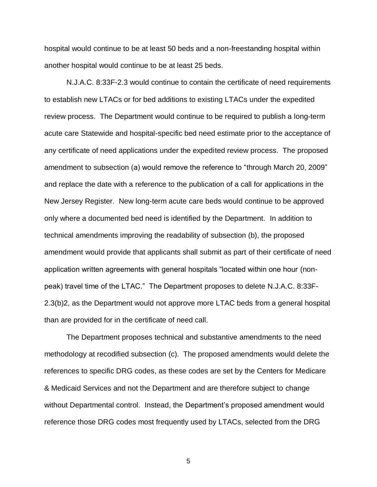hospital would continue to be at least 50 beds and a non-freestanding hospital within another hospital would continue to be at least 25 beds.

[N.J.A.C. 8:33F-2.3](https://web.lexisnexis.com/research/buttonTFLink?_m=62605cf6750c3d35a3df6f5159e5bbcc&_xfercite=%3ccite%20cc%3d%22USA%22%3e%3c%21%5bCDATA%5b40%20N.J.R.%20965%28a%29%5d%5d%3e%3c%2fcite%3e&_butType=4&_butStat=0&_butNum=25&_butInline=1&_butinfo=NJ%20ADMIN%208%3a33F-2.3&_fmtstr=FULL&docnum=11&_startdoc=1&wchp=dGLbVzt-zSkAb&_md5=d5b0a887b11589e7d1a03f04d2ec5982) would continue to contain the certificate of need requirements to establish new LTACs or for bed additions to existing LTACs under the expedited review process. The Department would continue to be required to publish a long-term acute care Statewide and hospital-specific bed need estimate prior to the acceptance of any certificate of need applications under the expedited review process. The proposed amendment to subsection (a) would remove the reference to "through March 20, 2009" and replace the date with a reference to the publication of a call for applications in the New Jersey Register. New long-term acute care beds would continue to be approved only where a documented bed need is identified by the Department. In addition to technical amendments improving the readability of subsection (b), the proposed amendment would provide that applicants shall submit as part of their certificate of need application written agreements with general hospitals "located within one hour (nonpeak) travel time of the LTAC." The Department proposes to delete [N.J.A.C. 8:33F-](https://web.lexisnexis.com/research/buttonTFLink?_m=62605cf6750c3d35a3df6f5159e5bbcc&_xfercite=%3ccite%20cc%3d%22USA%22%3e%3c%21%5bCDATA%5b40%20N.J.R.%20965%28a%29%5d%5d%3e%3c%2fcite%3e&_butType=4&_butStat=0&_butNum=25&_butInline=1&_butinfo=NJ%20ADMIN%208%3a33F-2.3&_fmtstr=FULL&docnum=11&_startdoc=1&wchp=dGLbVzt-zSkAb&_md5=d5b0a887b11589e7d1a03f04d2ec5982)[2.3\(](https://web.lexisnexis.com/research/buttonTFLink?_m=62605cf6750c3d35a3df6f5159e5bbcc&_xfercite=%3ccite%20cc%3d%22USA%22%3e%3c%21%5bCDATA%5b40%20N.J.R.%20965%28a%29%5d%5d%3e%3c%2fcite%3e&_butType=4&_butStat=0&_butNum=25&_butInline=1&_butinfo=NJ%20ADMIN%208%3a33F-2.3&_fmtstr=FULL&docnum=11&_startdoc=1&wchp=dGLbVzt-zSkAb&_md5=d5b0a887b11589e7d1a03f04d2ec5982)b)2, as the Department would not approve more LTAC beds from a general hospital than are provided for in the certificate of need call.

The Department proposes technical and substantive amendments to the need methodology at recodified subsection (c). The proposed amendments would delete the references to specific DRG codes, as these codes are set by the Centers for Medicare & Medicaid Services and not the Department and are therefore subject to change without Departmental control. Instead, the Department's proposed amendment would reference those DRG codes most frequently used by LTACs, selected from the DRG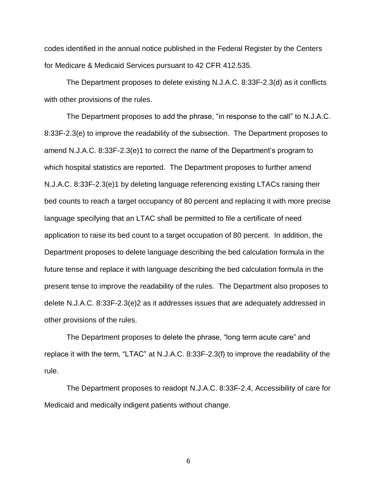codes identified in the annual notice published in the Federal Register by the Centers for Medicare & Medicaid Services pursuant to 42 CFR 412.535.

The Department proposes to delete existing [N.J.A.C. 8:33F-2.3\(](https://web.lexisnexis.com/research/buttonTFLink?_m=62605cf6750c3d35a3df6f5159e5bbcc&_xfercite=%3ccite%20cc%3d%22USA%22%3e%3c%21%5bCDATA%5b40%20N.J.R.%20965%28a%29%5d%5d%3e%3c%2fcite%3e&_butType=4&_butStat=0&_butNum=25&_butInline=1&_butinfo=NJ%20ADMIN%208%3a33F-2.3&_fmtstr=FULL&docnum=11&_startdoc=1&wchp=dGLbVzt-zSkAb&_md5=d5b0a887b11589e7d1a03f04d2ec5982)d) as it conflicts with other provisions of the rules.

The Department proposes to add the phrase, "in response to the call" to [N.J.A.C.](https://web.lexisnexis.com/research/buttonTFLink?_m=62605cf6750c3d35a3df6f5159e5bbcc&_xfercite=%3ccite%20cc%3d%22USA%22%3e%3c%21%5bCDATA%5b40%20N.J.R.%20965%28a%29%5d%5d%3e%3c%2fcite%3e&_butType=4&_butStat=0&_butNum=25&_butInline=1&_butinfo=NJ%20ADMIN%208%3a33F-2.3&_fmtstr=FULL&docnum=11&_startdoc=1&wchp=dGLbVzt-zSkAb&_md5=d5b0a887b11589e7d1a03f04d2ec5982)  [8:33F-2.3\(](https://web.lexisnexis.com/research/buttonTFLink?_m=62605cf6750c3d35a3df6f5159e5bbcc&_xfercite=%3ccite%20cc%3d%22USA%22%3e%3c%21%5bCDATA%5b40%20N.J.R.%20965%28a%29%5d%5d%3e%3c%2fcite%3e&_butType=4&_butStat=0&_butNum=25&_butInline=1&_butinfo=NJ%20ADMIN%208%3a33F-2.3&_fmtstr=FULL&docnum=11&_startdoc=1&wchp=dGLbVzt-zSkAb&_md5=d5b0a887b11589e7d1a03f04d2ec5982)e) to improve the readability of the subsection. The Department proposes to amend N.J.A.C. 8:33F-2.3(e)1 to correct the name of the Department's program to which hospital statistics are reported. The Department proposes to further amend N.J.A.C. 8:33F-2.3(e)1 by deleting language referencing existing LTACs raising their bed counts to reach a target occupancy of 80 percent and replacing it with more precise language specifying that an LTAC shall be permitted to file a certificate of need application to raise its bed count to a target occupation of 80 percent. In addition, the Department proposes to delete language describing the bed calculation formula in the future tense and replace it with language describing the bed calculation formula in the present tense to improve the readability of the rules. The Department also proposes to delete [N.J.A.C. 8:33F-2.3\(](https://web.lexisnexis.com/research/buttonTFLink?_m=62605cf6750c3d35a3df6f5159e5bbcc&_xfercite=%3ccite%20cc%3d%22USA%22%3e%3c%21%5bCDATA%5b40%20N.J.R.%20965%28a%29%5d%5d%3e%3c%2fcite%3e&_butType=4&_butStat=0&_butNum=25&_butInline=1&_butinfo=NJ%20ADMIN%208%3a33F-2.3&_fmtstr=FULL&docnum=11&_startdoc=1&wchp=dGLbVzt-zSkAb&_md5=d5b0a887b11589e7d1a03f04d2ec5982)e)2 as it addresses issues that are adequately addressed in other provisions of the rules.

The Department proposes to delete the phrase, "long term acute care" and replace it with the term, "LTAC" at [N.J.A.C. 8:33F-2.3\(](https://web.lexisnexis.com/research/buttonTFLink?_m=62605cf6750c3d35a3df6f5159e5bbcc&_xfercite=%3ccite%20cc%3d%22USA%22%3e%3c%21%5bCDATA%5b40%20N.J.R.%20965%28a%29%5d%5d%3e%3c%2fcite%3e&_butType=4&_butStat=0&_butNum=25&_butInline=1&_butinfo=NJ%20ADMIN%208%3a33F-2.3&_fmtstr=FULL&docnum=11&_startdoc=1&wchp=dGLbVzt-zSkAb&_md5=d5b0a887b11589e7d1a03f04d2ec5982)f) to improve the readability of the rule.

The Department proposes to readopt [N.J.A.C. 8:33F-2.4,](https://web.lexisnexis.com/research/buttonTFLink?_m=62605cf6750c3d35a3df6f5159e5bbcc&_xfercite=%3ccite%20cc%3d%22USA%22%3e%3c%21%5bCDATA%5b40%20N.J.R.%20965%28a%29%5d%5d%3e%3c%2fcite%3e&_butType=4&_butStat=0&_butNum=29&_butInline=1&_butinfo=NJ%20ADMIN%208%3a33F-2.4&_fmtstr=FULL&docnum=11&_startdoc=1&wchp=dGLbVzt-zSkAb&_md5=d0022efbcf26a5a52ec998553c7019a5) Accessibility of care for Medicaid and medically indigent patients without change.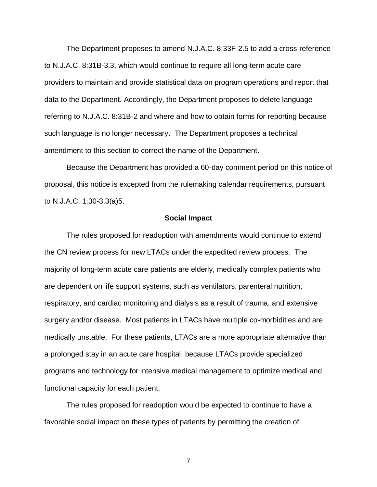The Department proposes to amend [N.J.A.C. 8:33F-2.5](https://web.lexisnexis.com/research/buttonTFLink?_m=62605cf6750c3d35a3df6f5159e5bbcc&_xfercite=%3ccite%20cc%3d%22USA%22%3e%3c%21%5bCDATA%5b40%20N.J.R.%20965%28a%29%5d%5d%3e%3c%2fcite%3e&_butType=4&_butStat=0&_butNum=33&_butInline=1&_butinfo=NJ%20ADMIN%208%3a33F-2.5&_fmtstr=FULL&docnum=11&_startdoc=1&wchp=dGLbVzt-zSkAb&_md5=a7a7c30215e9a3f5517df82eed402b82) to add a cross-reference to N.J.A.C. 8:31B-3.3, which would continue to require all long-term acute care providers to maintain and provide statistical data on program operations and report that data to the Department. Accordingly, the Department proposes to delete language referring to N.J.A.C. 8:31B-2 and where and how to obtain forms for reporting because such language is no longer necessary. The Department proposes a technical amendment to this section to correct the name of the Department.

Because the Department has provided a 60-day comment period on this notice of proposal, this notice is excepted from the rulemaking calendar requirements, pursuant to [N.J.A.C. 1:30-3.3\(a\)5](https://web.lexisnexis.com/research/buttonTFLink?_m=62605cf6750c3d35a3df6f5159e5bbcc&_xfercite=%3ccite%20cc%3d%22USA%22%3e%3c%21%5bCDATA%5b40%20N.J.R.%20965%28a%29%5d%5d%3e%3c%2fcite%3e&_butType=4&_butStat=0&_butNum=34&_butInline=1&_butinfo=NJ%20ADMIN%201%3a30-3.3&_fmtstr=FULL&docnum=11&_startdoc=1&wchp=dGLbVzt-zSkAb&_md5=3a41a37073051087f7f27236fe8ad53c).

#### **Social Impact**

The rules proposed for readoption with amendments would continue to extend the CN review process for new LTACs under the expedited review process. The majority of long-term acute care patients are elderly, medically complex patients who are dependent on life support systems, such as ventilators, parenteral nutrition, respiratory, and cardiac monitoring and dialysis as a result of trauma, and extensive surgery and/or disease. Most patients in LTACs have multiple co-morbidities and are medically unstable. For these patients, LTACs are a more appropriate alternative than a prolonged stay in an acute care hospital, because LTACs provide specialized programs and technology for intensive medical management to optimize medical and functional capacity for each patient.

The rules proposed for readoption would be expected to continue to have a favorable social impact on these types of patients by permitting the creation of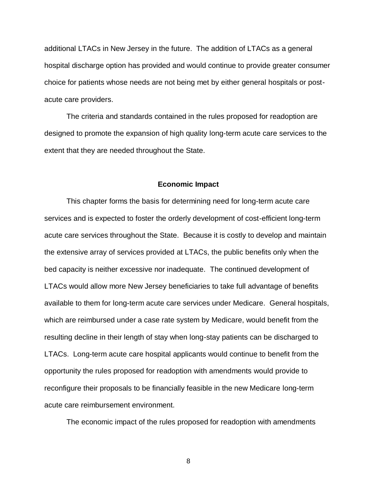additional LTACs in New Jersey in the future. The addition of LTACs as a general hospital discharge option has provided and would continue to provide greater consumer choice for patients whose needs are not being met by either general hospitals or postacute care providers.

The criteria and standards contained in the rules proposed for readoption are designed to promote the expansion of high quality long-term acute care services to the extent that they are needed throughout the State.

#### **Economic Impact**

This chapter forms the basis for determining need for long-term acute care services and is expected to foster the orderly development of cost-efficient long-term acute care services throughout the State. Because it is costly to develop and maintain the extensive array of services provided at LTACs, the public benefits only when the bed capacity is neither excessive nor inadequate. The continued development of LTACs would allow more New Jersey beneficiaries to take full advantage of benefits available to them for long-term acute care services under Medicare. General hospitals, which are reimbursed under a case rate system by Medicare, would benefit from the resulting decline in their length of stay when long-stay patients can be discharged to LTACs. Long-term acute care hospital applicants would continue to benefit from the opportunity the rules proposed for readoption with amendments would provide to reconfigure their proposals to be financially feasible in the new Medicare long-term acute care reimbursement environment.

The economic impact of the rules proposed for readoption with amendments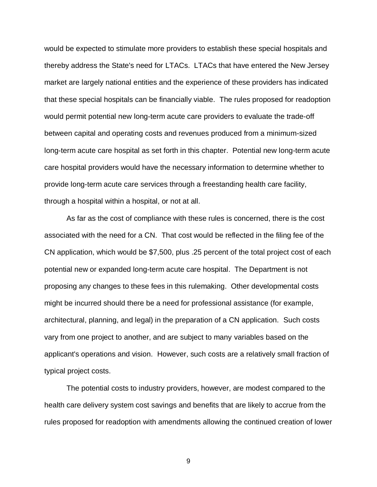would be expected to stimulate more providers to establish these special hospitals and thereby address the State's need for LTACs. LTACs that have entered the New Jersey market are largely national entities and the experience of these providers has indicated that these special hospitals can be financially viable. The rules proposed for readoption would permit potential new long-term acute care providers to evaluate the trade-off between capital and operating costs and revenues produced from a minimum-sized long-term acute care hospital as set forth in this chapter. Potential new long-term acute care hospital providers would have the necessary information to determine whether to provide long-term acute care services through a freestanding health care facility, through a hospital within a hospital, or not at all.

As far as the cost of compliance with these rules is concerned, there is the cost associated with the need for a CN. That cost would be reflected in the filing fee of the CN application, which would be \$7,500, plus .25 percent of the total project cost of each potential new or expanded long-term acute care hospital. The Department is not proposing any changes to these fees in this rulemaking. Other developmental costs might be incurred should there be a need for professional assistance (for example, architectural, planning, and legal) in the preparation of a CN application. Such costs vary from one project to another, and are subject to many variables based on the applicant's operations and vision. However, such costs are a relatively small fraction of typical project costs.

The potential costs to industry providers, however, are modest compared to the health care delivery system cost savings and benefits that are likely to accrue from the rules proposed for readoption with amendments allowing the continued creation of lower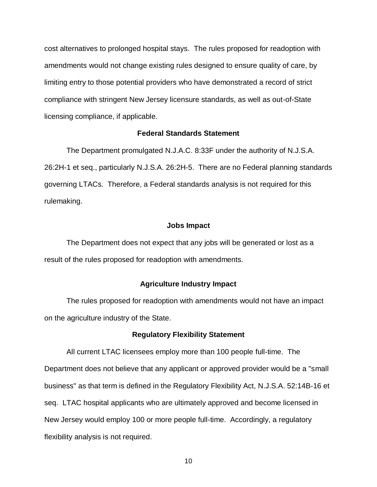cost alternatives to prolonged hospital stays. The rules proposed for readoption with amendments would not change existing rules designed to ensure quality of care, by limiting entry to those potential providers who have demonstrated a record of strict compliance with stringent New Jersey licensure standards, as well as out-of-State licensing compliance, if applicable.

### **Federal Standards Statement**

The Department promulgated N.J.A.C. 8:33F under the authority of N.J.S.A. 26:2H-1 et seq., particularly N.J.S.A. 26:2H-5. There are no Federal planning standards governing LTACs. Therefore, a Federal standards analysis is not required for this rulemaking.

#### **Jobs Impact**

The Department does not expect that any jobs will be generated or lost as a result of the rules proposed for readoption with amendments.

### **Agriculture Industry Impact**

The rules proposed for readoption with amendments would not have an impact on the agriculture industry of the State.

#### **Regulatory Flexibility Statement**

All current LTAC licensees employ more than 100 people full-time. The Department does not believe that any applicant or approved provider would be a "small business" as that term is defined in the Regulatory Flexibility Act, [N.J.S.A. 52:14B-16](https://web.lexisnexis.com/research/buttonTFLink?_m=62605cf6750c3d35a3df6f5159e5bbcc&_xfercite=%3ccite%20cc%3d%22USA%22%3e%3c%21%5bCDATA%5b40%20N.J.R.%20965%28a%29%5d%5d%3e%3c%2fcite%3e&_butType=4&_butStat=0&_butNum=39&_butInline=1&_butinfo=NJCODE%2052%3a14B-16&_fmtstr=FULL&docnum=11&_startdoc=1&wchp=dGLbVzt-zSkAb&_md5=7067a6596089a6335e5ae953bd605a6f) et seq. LTAC hospital applicants who are ultimately approved and become licensed in New Jersey would employ 100 or more people full-time. Accordingly, a regulatory flexibility analysis is not required.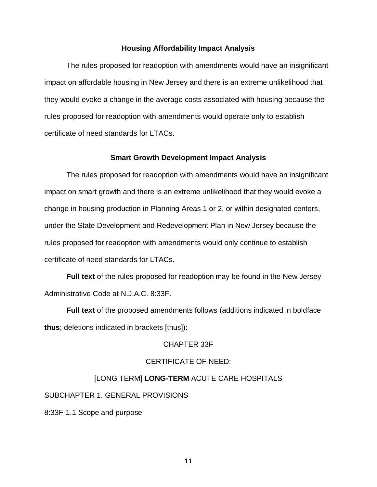### **Housing Affordability Impact Analysis**

The rules proposed for readoption with amendments would have an insignificant impact on affordable housing in New Jersey and there is an extreme unlikelihood that they would evoke a change in the average costs associated with housing because the rules proposed for readoption with amendments would operate only to establish certificate of need standards for LTACs.

#### **Smart Growth Development Impact Analysis**

The rules proposed for readoption with amendments would have an insignificant impact on smart growth and there is an extreme unlikelihood that they would evoke a change in housing production in Planning Areas 1 or 2, or within designated centers, under the State Development and Redevelopment Plan in New Jersey because the rules proposed for readoption with amendments would only continue to establish certificate of need standards for LTACs.

**Full text** of the rules proposed for readoption may be found in the New Jersey Administrative Code at [N.J.A.C. 8:33F.](https://web.lexisnexis.com/research/buttonTFLink?_m=dd6e771ac8323a23a6661dedeb850705&_xfercite=%3ccite%20cc%3d%22USA%22%3e%3c%21%5bCDATA%5b47%20N.J.R.%20567%28a%29%5d%5d%3e%3c%2fcite%3e&_butType=4&_butStat=0&_butNum=35&_butInline=1&_butinfo=NJ%20ADMIN%201%3a19&_fmtstr=FULL&docnum=1&_startdoc=1&wchp=dGLbVzt-zSkAb&_md5=76b1b26427eb35404b3893d31367f64b)

**Full text** of the proposed amendments follows (additions indicated in boldface **thus**; deletions indicated in brackets [thus]):

### CHAPTER 33F

### CERTIFICATE OF NEED:

### [LONG TERM] **LONG-TERM** ACUTE CARE HOSPITALS

SUBCHAPTER 1. GENERAL PROVISIONS

8:33F-1.1 Scope and purpose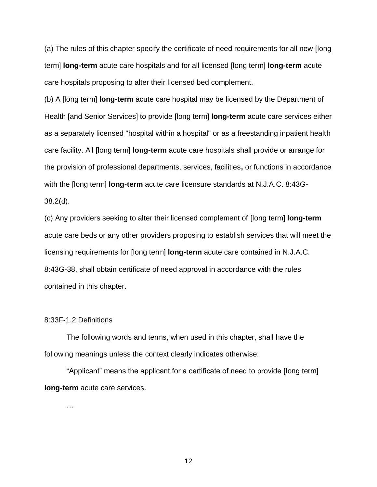(a) The rules of this chapter specify the certificate of need requirements for all new [long term] **long-term** acute care hospitals and for all licensed [long term] **long-term** acute care hospitals proposing to alter their licensed bed complement.

(b) A [long term] **long-term** acute care hospital may be licensed by the Department of Health [and Senior Services] to provide [long term] **long-term** acute care services either as a separately licensed "hospital within a hospital" or as a freestanding inpatient health care facility. All [long term] **long-term** acute care hospitals shall provide or arrange for the provision of professional departments, services, facilities**,** or functions in accordance with the [long term] **long-term** acute care licensure standards at N.J.A.C. 8:43G-

38.2(d).

(c) Any providers seeking to alter their licensed complement of [long term] **long-term** acute care beds or any other providers proposing to establish services that will meet the licensing requirements for [long term] **long-term** acute care contained in N.J.A.C. 8:43G-38, shall obtain certificate of need approval in accordance with the rules contained in this chapter.

#### 8:33F-1.2 Definitions

The following words and terms, when used in this chapter, shall have the following meanings unless the context clearly indicates otherwise:

"Applicant" means the applicant for a certificate of need to provide [long term] **long-term** acute care services.

…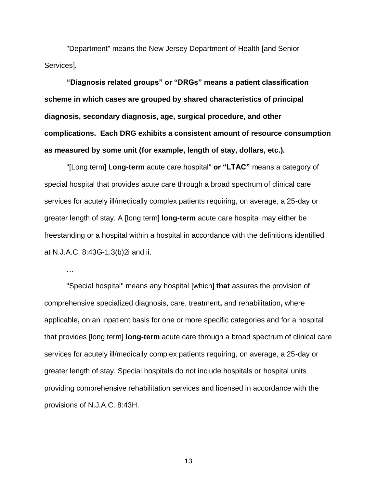"Department" means the New Jersey Department of Health [and Senior Services].

**"Diagnosis related groups" or "DRGs" means a patient classification scheme in which cases are grouped by shared characteristics of principal diagnosis, secondary diagnosis, age, surgical procedure, and other complications. Each DRG exhibits a consistent amount of resource consumption as measured by some unit (for example, length of stay, dollars, etc.).**

"[Long term] L**ong-term** acute care hospital" **or "LTAC"** means a category of special hospital that provides acute care through a broad spectrum of clinical care services for acutely ill/medically complex patients requiring, on average, a 25-day or greater length of stay. A [long term] **long-term** acute care hospital may either be freestanding or a hospital within a hospital in accordance with the definitions identified at N.J.A.C. 8:43G-1.3(b)2i and ii.

…

"Special hospital" means any hospital [which] **that** assures the provision of comprehensive specialized diagnosis, care, treatment**,** and rehabilitation**,** where applicable**,** on an inpatient basis for one or more specific categories and for a hospital that provides [long term] **long-term** acute care through a broad spectrum of clinical care services for acutely ill/medically complex patients requiring, on average, a 25-day or greater length of stay. Special hospitals do not include hospitals or hospital units providing comprehensive rehabilitation services and licensed in accordance with the provisions of N.J.A.C. 8:43H.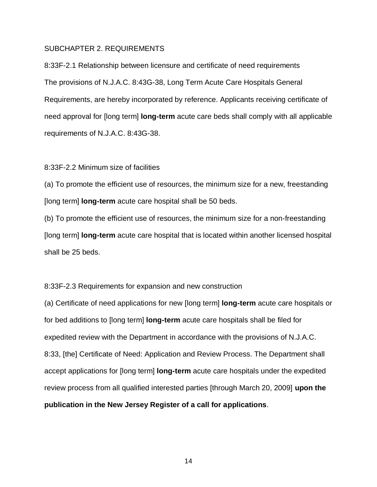#### SUBCHAPTER 2. REQUIREMENTS

8:33F-2.1 Relationship between licensure and certificate of need requirements The provisions of N.J.A.C. 8:43G-38, Long Term Acute Care Hospitals General Requirements, are hereby incorporated by reference. Applicants receiving certificate of need approval for [long term] **long-term** acute care beds shall comply with all applicable requirements of N.J.A.C. 8:43G-38.

#### 8:33F-2.2 Minimum size of facilities

(a) To promote the efficient use of resources, the minimum size for a new, freestanding [long term] **long-term** acute care hospital shall be 50 beds.

(b) To promote the efficient use of resources, the minimum size for a non-freestanding [long term] **long-term** acute care hospital that is located within another licensed hospital shall be 25 beds.

#### 8:33F-2.3 Requirements for expansion and new construction

(a) Certificate of need applications for new [long term] **long-term** acute care hospitals or for bed additions to [long term] **long-term** acute care hospitals shall be filed for expedited review with the Department in accordance with the provisions of N.J.A.C. 8:33, [the] Certificate of Need: Application and Review Process. The Department shall accept applications for [long term] **long-term** acute care hospitals under the expedited review process from all qualified interested parties [through March 20, 2009] **upon the publication in the New Jersey Register of a call for applications**.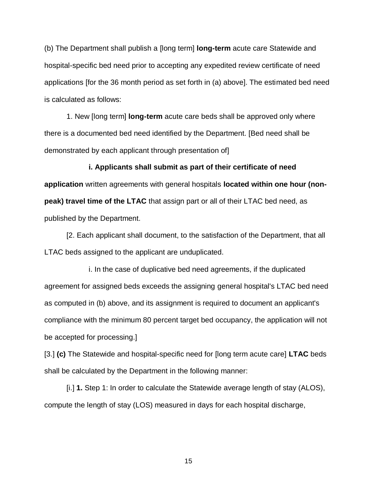(b) The Department shall publish a [long term] **long-term** acute care Statewide and hospital-specific bed need prior to accepting any expedited review certificate of need applications [for the 36 month period as set forth in (a) above]. The estimated bed need is calculated as follows:

1. New [long term] **long-term** acute care beds shall be approved only where there is a documented bed need identified by the Department. [Bed need shall be demonstrated by each applicant through presentation of]

**i. Applicants shall submit as part of their certificate of need application** written agreements with general hospitals **located within one hour (nonpeak) travel time of the LTAC** that assign part or all of their LTAC bed need, as published by the Department.

[2. Each applicant shall document, to the satisfaction of the Department, that all LTAC beds assigned to the applicant are unduplicated.

i. In the case of duplicative bed need agreements, if the duplicated agreement for assigned beds exceeds the assigning general hospital's LTAC bed need as computed in (b) above, and its assignment is required to document an applicant's compliance with the minimum 80 percent target bed occupancy, the application will not be accepted for processing.]

[3.] **(c)** The Statewide and hospital-specific need for [long term acute care] **LTAC** beds shall be calculated by the Department in the following manner:

[i.] **1.** Step 1: In order to calculate the Statewide average length of stay (ALOS), compute the length of stay (LOS) measured in days for each hospital discharge,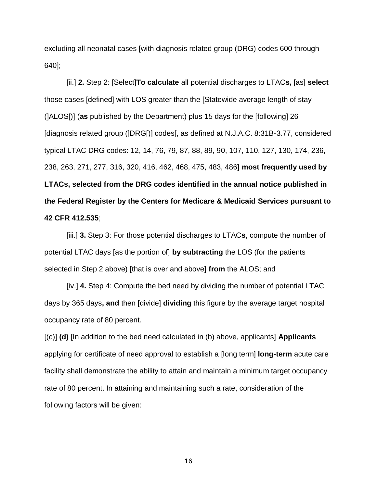excluding all neonatal cases [with diagnosis related group (DRG) codes 600 through 640];

[ii.] **2.** Step 2: [Select]**To calculate** all potential discharges to LTAC**s,** [as] **select** those cases [defined] with LOS greater than the [Statewide average length of stay (]ALOS[)] (**as** published by the Department) plus 15 days for the [following] 26 [diagnosis related group (]DRG[)] codes[, as defined at N.J.A.C. 8:31B-3.77, considered typical LTAC DRG codes: 12, 14, 76, 79, 87, 88, 89, 90, 107, 110, 127, 130, 174, 236, 238, 263, 271, 277, 316, 320, 416, 462, 468, 475, 483, 486] **most frequently used by LTACs, selected from the DRG codes identified in the annual notice published in the Federal Register by the Centers for Medicare & Medicaid Services pursuant to 42 CFR 412.535**;

[iii.] **3.** Step 3: For those potential discharges to LTAC**s**, compute the number of potential LTAC days [as the portion of] **by subtracting** the LOS (for the patients selected in Step 2 above) [that is over and above] **from** the ALOS; and

[iv.] **4.** Step 4: Compute the bed need by dividing the number of potential LTAC days by 365 days**, and** then [divide] **dividing** this figure by the average target hospital occupancy rate of 80 percent.

[(c)] **(d)** [In addition to the bed need calculated in (b) above, applicants] **Applicants**  applying for certificate of need approval to establish a [long term] **long-term** acute care facility shall demonstrate the ability to attain and maintain a minimum target occupancy rate of 80 percent. In attaining and maintaining such a rate, consideration of the following factors will be given: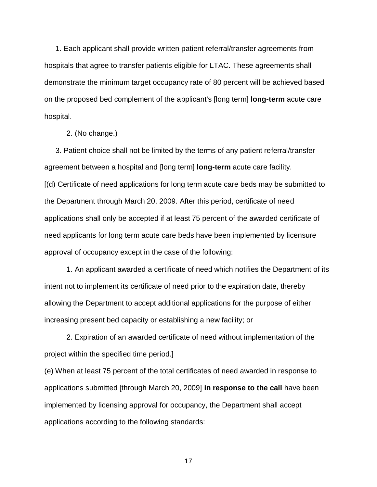1. Each applicant shall provide written patient referral/transfer agreements from hospitals that agree to transfer patients eligible for LTAC. These agreements shall demonstrate the minimum target occupancy rate of 80 percent will be achieved based on the proposed bed complement of the applicant's [long term] **long-term** acute care hospital.

2. (No change.)

3. Patient choice shall not be limited by the terms of any patient referral/transfer agreement between a hospital and [long term] **long-term** acute care facility. [(d) Certificate of need applications for long term acute care beds may be submitted to the Department through March 20, 2009. After this period, certificate of need applications shall only be accepted if at least 75 percent of the awarded certificate of need applicants for long term acute care beds have been implemented by licensure approval of occupancy except in the case of the following:

1. An applicant awarded a certificate of need which notifies the Department of its intent not to implement its certificate of need prior to the expiration date, thereby allowing the Department to accept additional applications for the purpose of either increasing present bed capacity or establishing a new facility; or

2. Expiration of an awarded certificate of need without implementation of the project within the specified time period.]

(e) When at least 75 percent of the total certificates of need awarded in response to applications submitted [through March 20, 2009] **in response to the call** have been implemented by licensing approval for occupancy, the Department shall accept applications according to the following standards: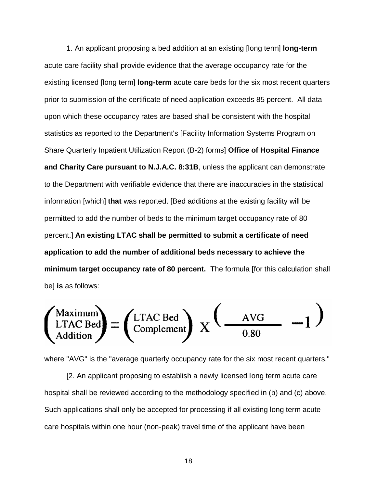1. An applicant proposing a bed addition at an existing [long term] **long-term** acute care facility shall provide evidence that the average occupancy rate for the existing licensed [long term] **long-term** acute care beds for the six most recent quarters prior to submission of the certificate of need application exceeds 85 percent. All data upon which these occupancy rates are based shall be consistent with the hospital statistics as reported to the Department's [Facility Information Systems Program on Share Quarterly Inpatient Utilization Report (B-2) forms] **Office of Hospital Finance and Charity Care pursuant to N.J.A.C. 8:31B**, unless the applicant can demonstrate to the Department with verifiable evidence that there are inaccuracies in the statistical information [which] **that** was reported. [Bed additions at the existing facility will be permitted to add the number of beds to the minimum target occupancy rate of 80 percent.] **An existing LTAC shall be permitted to submit a certificate of need application to add the number of additional beds necessary to achieve the minimum target occupancy rate of 80 percent.** The formula [for this calculation shall be] **is** as follows:

$$
\begin{pmatrix}\n\text{Maximum} \\
\text{LTAC Bed} \\
\text{Addition}\n\end{pmatrix} = \begin{pmatrix}\n\text{LTAC Bed} \\
\text{Complement}\n\end{pmatrix}\nX\n\begin{pmatrix}\n\text{AVG} & -1\n\end{pmatrix}
$$

where "AVG" is the "average quarterly occupancy rate for the six most recent quarters."

[2. An applicant proposing to establish a newly licensed long term acute care hospital shall be reviewed according to the methodology specified in (b) and (c) above. Such applications shall only be accepted for processing if all existing long term acute care hospitals within one hour (non-peak) travel time of the applicant have been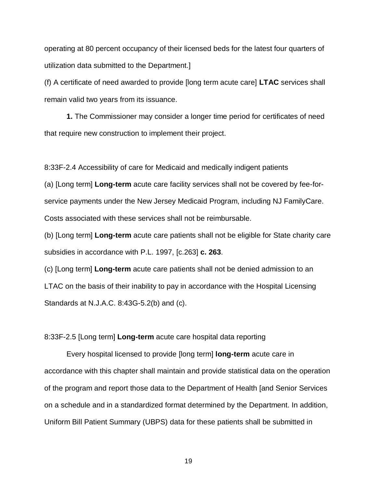operating at 80 percent occupancy of their licensed beds for the latest four quarters of utilization data submitted to the Department.]

(f) A certificate of need awarded to provide [long term acute care] **LTAC** services shall remain valid two years from its issuance.

**1.** The Commissioner may consider a longer time period for certificates of need that require new construction to implement their project.

8:33F-2.4 Accessibility of care for Medicaid and medically indigent patients

(a) [Long term] **Long-term** acute care facility services shall not be covered by fee-forservice payments under the New Jersey Medicaid Program, including NJ FamilyCare. Costs associated with these services shall not be reimbursable.

(b) [Long term] **Long-term** acute care patients shall not be eligible for State charity care subsidies in accordance with P.L. 1997, [c.263] **c. 263**.

(c) [Long term] **Long-term** acute care patients shall not be denied admission to an LTAC on the basis of their inability to pay in accordance with the Hospital Licensing Standards at N.J.A.C. 8:43G-5.2(b) and (c).

### 8:33F-2.5 [Long term] **Long-term** acute care hospital data reporting

Every hospital licensed to provide [long term] **long-term** acute care in accordance with this chapter shall maintain and provide statistical data on the operation of the program and report those data to the Department of Health [and Senior Services on a schedule and in a standardized format determined by the Department. In addition, Uniform Bill Patient Summary (UBPS) data for these patients shall be submitted in